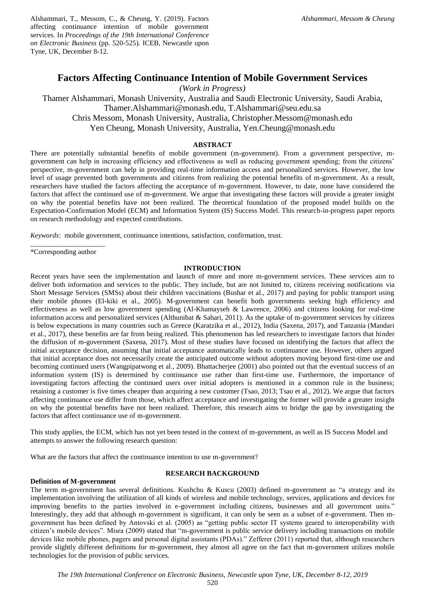Alshammari, T., Messom, C., & Cheung, Y. (2019). Factors affecting continuance intention of mobile government services. In *Proceedings of the 19th International Conference on Electronic Business* (pp. 520-525). ICEB, Newcastle upon Tyne, UK, December 8-12.

# **Factors Affecting Continuance Intention of Mobile Government Services**

*(Work in Progress)*

Thamer Alshammari, Monash University, Australia and Saudi Electronic University, Saudi Arabia, Thamer.Alshammari@monash.edu, T.Alshammari@seu.edu.sa Chris Messom, Monash University, Australia, Christopher.Messom@monash.edu Yen Cheung, Monash University, Australia, Yen.Cheung@monash.edu

## **ABSTRACT**

There are potentially substantial benefits of mobile government (m-government). From a government perspective, mgovernment can help in increasing efficiency and effectiveness as well as reducing government spending; from the citizens' perspective, m-government can help in providing real-time information access and personalized services. However, the low level of usage prevented both governments and citizens from realizing the potential benefits of m-government. As a result, researchers have studied the factors affecting the acceptance of m-government. However, to date, none have considered the factors that affect the continued use of m-government. We argue that investigating these factors will provide a greater insight on why the potential benefits have not been realized. The theoretical foundation of the proposed model builds on the Expectation-Confirmation Model (ECM) and Information System (IS) Success Model. This research-in-progress paper reports on research methodology and expected contributions.

*Keywords*: mobile government, continuance intentions, satisfaction, confirmation, trust.

\_\_\_\_\_\_\_\_\_\_\_\_\_\_\_\_\_\_\_\_\_ \*Corresponding author

## **INTRODUCTION**

Recent years have seen the implementation and launch of more and more m-government services. These services aim to deliver both information and services to the public. They include, but are not limited to, citizens receiving notifications via Short Message Services (SMSs) about their children vaccinations (Bushar et al., 2017) and paying for public transport using their mobile phones (El-kiki et al., 2005). M-government can benefit both governments seeking high efficiency and effectiveness as well as low government spending (Al-Khamayseh & Lawrence, 2006) and citizens looking for real-time information access and personalized services (Althunibat & Sahari, 2011). As the uptake of m-government services by citizens is below expectations in many countries such as Greece (Karatzika et al., 2012), India (Saxena, 2017), and Tanzania (Mandari et al., 2017), these benefits are far from being realized. This phenomenon has led researchers to investigate factors that hinder the diffusion of m-government (Saxena, 2017). Most of these studies have focused on identifying the factors that affect the initial acceptance decision, assuming that initial acceptance automatically leads to continuance use. However, others argued that initial acceptance does not necessarily create the anticipated outcome without adopters moving beyond first-time use and becoming continued users (Wangpipatwong et al., 2009). Bhattacherjee (2001) also pointed out that the eventual success of an information system (IS) is determined by continuance use rather than first-time use. Furthermore, the importance of investigating factors affecting the continued users over initial adopters is mentioned in a common rule in the business; retaining a customer is five times cheaper than acquiring a new customer (Tsao, 2013; Tsao et al., 2012). We argue that factors affecting continuance use differ from those, which affect acceptance and investigating the former will provide a greater insight on why the potential benefits have not been realized. Therefore, this research aims to bridge the gap by investigating the factors that affect continuance use of m-government.

This study applies, the ECM, which has not yet been tested in the context of m-government, as well as IS Success Model and attempts to answer the following research question:

What are the factors that affect the continuance intention to use m-government?

## **RESEARCH BACKGROUND**

### **Definition of M-government**

The term m-government has several definitions. Kushchu & Kuscu (2003) defined m-government as "a strategy and its implementation involving the utilization of all kinds of wireless and mobile technology, services, applications and devices for improving benefits to the parties involved in e-government including citizens, businesses and all government units." Interestingly, they add that although m-government is significant, it can only be seen as a subset of e-government. Then mgovernment has been defined by Antovski et al. (2005) as "getting public sector IT systems geared to interoperability with citizen's mobile devices". Misra (2009) stated that "m-government is public service delivery including transactions on mobile devices like mobile phones, pagers and personal digital assistants (PDAs)." Zefferer (2011) reported that, although researchers provide slightly different definitions for m-government, they almost all agree on the fact that m-government utilizes mobile technologies for the provision of public services.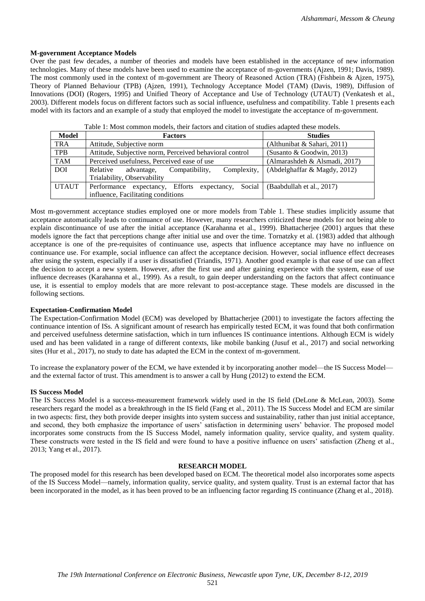## **M-government Acceptance Models**

Over the past few decades, a number of theories and models have been established in the acceptance of new information technologies. Many of these models have been used to examine the acceptance of m-governments (Ajzen, 1991; Davis, 1989). The most commonly used in the context of m-government are Theory of Reasoned Action (TRA) (Fishbein & Ajzen, 1975), Theory of Planned Behaviour (TPB) (Ajzen, 1991), Technology Acceptance Model (TAM) (Davis, 1989), Diffusion of Innovations (DOI) (Rogers, 1995) and Unified Theory of Acceptance and Use of Technology (UTAUT) (Venkatesh et al., 2003). Different models focus on different factors such as social influence, usefulness and compatibility. Table 1 presents each model with its factors and an example of a study that employed the model to investigate the acceptance of m-government.

| Model        | <b>Factors</b>                                                               | <b>Studies</b>                |
|--------------|------------------------------------------------------------------------------|-------------------------------|
| <b>TRA</b>   | Attitude, Subjective norm                                                    | (Althunibat & Sahari, 2011)   |
| <b>TPB</b>   | Attitude, Subjective norm, Perceived behavioral control                      | (Susanto & Goodwin, 2013)     |
| <b>TAM</b>   | Perceived usefulness, Perceived ease of use                                  | (Almarashdeh & Alsmadi, 2017) |
| <b>DOI</b>   | Complexity,<br>Relative<br>advantage,<br>Compatibility,                      | (Abdelghaffar & Magdy, 2012)  |
|              | Trialability, Observability                                                  |                               |
| <b>UTAUT</b> | Performance expectancy, Efforts expectancy, Social (Baabdullah et al., 2017) |                               |
|              | influence, Facilitating conditions                                           |                               |

Most m-government acceptance studies employed one or more models from Table 1. These studies implicitly assume that acceptance automatically leads to continuance of use. However, many researchers criticized these models for not being able to explain discontinuance of use after the initial acceptance (Karahanna et al., 1999). Bhattacherjee (2001) argues that these models ignore the fact that perceptions change after initial use and over the time. Tornatzky et al. (1983) added that although acceptance is one of the pre-requisites of continuance use, aspects that influence acceptance may have no influence on continuance use. For example, social influence can affect the acceptance decision. However, social influence effect decreases after using the system, especially if a user is dissatisfied (Triandis, 1971). Another good example is that ease of use can affect the decision to accept a new system. However, after the first use and after gaining experience with the system, ease of use influence decreases (Karahanna et al., 1999). As a result, to gain deeper understanding on the factors that affect continuance use, it is essential to employ models that are more relevant to post-acceptance stage. These models are discussed in the following sections.

### **Expectation-Confirmation Model**

The Expectation-Confirmation Model (ECM) was developed by Bhattacherjee (2001) to investigate the factors affecting the continuance intention of ISs. A significant amount of research has empirically tested ECM, it was found that both confirmation and perceived usefulness determine satisfaction, which in turn influences IS continuance intentions. Although ECM is widely used and has been validated in a range of different contexts, like mobile banking (Jusuf et al., 2017) and social networking sites (Hur et al., 2017), no study to date has adapted the ECM in the context of m-government.

To increase the explanatory power of the ECM, we have extended it by incorporating another model—the IS Success Model and the external factor of trust. This amendment is to answer a call by Hung (2012) to extend the ECM.

#### **IS Success Model**

The IS Success Model is a success-measurement framework widely used in the IS field (DeLone & McLean, 2003). Some researchers regard the model as a breakthrough in the IS field (Fang et al., 2011). The IS Success Model and ECM are similar in two aspects: first, they both provide deeper insights into system success and sustainability, rather than just initial acceptance, and second, they both emphasize the importance of users' satisfaction in determining users' behavior. The proposed model incorporates some constructs from the IS Success Model, namely information quality, service quality, and system quality. These constructs were tested in the IS field and were found to have a positive influence on users' satisfaction (Zheng et al., 2013; Yang et al., 2017).

#### **RESEARCH MODEL**

The proposed model for this research has been developed based on ECM. The theoretical model also incorporates some aspects of the IS Success Model—namely, information quality, service quality, and system quality. Trust is an external factor that has been incorporated in the model, as it has been proved to be an influencing factor regarding IS continuance (Zhang et al., 2018).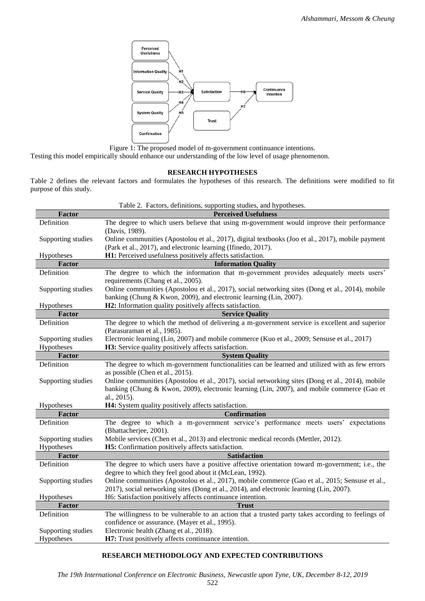

Figure 1: The proposed model of m-government continuance intentions.

Testing this model empirically should enhance our understanding of the low level of usage phenomenon.

#### **RESEARCH HYPOTHESES**

Table 2 defines the relevant factors and formulates the hypotheses of this research. The definitions were modified to fit purpose of this study.

|                                                                         | Table 2. Factors, definitions, supporting studies, and hypotheses.                                                           |  |
|-------------------------------------------------------------------------|------------------------------------------------------------------------------------------------------------------------------|--|
| Factor                                                                  | <b>Perceived Usefulness</b>                                                                                                  |  |
| Definition                                                              | The degree to which users believe that using m-government would improve their performance                                    |  |
|                                                                         | (Davis, 1989).                                                                                                               |  |
| Supporting studies                                                      | Online communities (Apostolou et al., 2017), digital textbooks (Joo et al., 2017), mobile payment                            |  |
|                                                                         | (Park et al., 2017), and electronic learning (Ifinedo, 2017).                                                                |  |
| H1: Perceived usefulness positively affects satisfaction.<br>Hypotheses |                                                                                                                              |  |
| <b>Factor</b>                                                           | <b>Information Quality</b>                                                                                                   |  |
| Definition                                                              | The degree to which the information that m-government provides adequately meets users'<br>requirements (Chang et al., 2005). |  |
| Supporting studies                                                      | Online communities (Apostolou et al., 2017), social networking sites (Dong et al., 2014), mobile                             |  |
|                                                                         | banking (Chung & Kwon, 2009), and electronic learning (Lin, 2007).                                                           |  |
| Hypotheses                                                              | H2: Information quality positively affects satisfaction.                                                                     |  |
| <b>Factor</b><br><b>Service Quality</b>                                 |                                                                                                                              |  |
| Definition                                                              | The degree to which the method of delivering a m-government service is excellent and superior                                |  |
|                                                                         | (Parasuraman et al., 1985).                                                                                                  |  |
| Supporting studies                                                      | Electronic learning (Lin, 2007) and mobile commerce (Kuo et al., 2009; Sensuse et al., 2017)                                 |  |
| Hypotheses                                                              | H3: Service quality positively affects satisfaction.                                                                         |  |
| Factor                                                                  | <b>System Quality</b>                                                                                                        |  |
| Definition                                                              | The degree to which m-government functionalities can be learned and utilized with as few errors                              |  |
|                                                                         | as possible (Chen et al., 2015).                                                                                             |  |
| Supporting studies                                                      | Online communities (Apostolou et al., 2017), social networking sites (Dong et al., 2014), mobile                             |  |
|                                                                         | banking (Chung & Kwon, 2009), electronic learning (Lin, 2007), and mobile commerce (Gao et                                   |  |
|                                                                         | al., 2015).                                                                                                                  |  |
| Hypotheses                                                              | H4: System quality positively affects satisfaction.                                                                          |  |
| <b>Factor</b>                                                           | <b>Confirmation</b>                                                                                                          |  |
| Definition                                                              | The degree to which a m-government service's performance meets users' expectations<br>(Bhattacherjee, 2001).                 |  |
| Supporting studies                                                      | Mobile services (Chen et al., 2013) and electronic medical records (Mettler, 2012).                                          |  |
| Hypotheses                                                              | H5: Confirmation positively affects satisfaction.                                                                            |  |
| Factor<br><b>Satisfaction</b>                                           |                                                                                                                              |  |
| Definition                                                              | The degree to which users have a positive affective orientation toward m-government; i.e., the                               |  |
|                                                                         | degree to which they feel good about it (McLean, 1992).                                                                      |  |
| Supporting studies                                                      | Online communities (Apostolou et al., 2017), mobile commerce (Gao et al., 2015; Sensuse et al.,                              |  |
|                                                                         | 2017), social networking sites (Dong et al., 2014), and electronic learning (Lin, 2007).                                     |  |
| Hypotheses                                                              | H6: Satisfaction positively affects continuance intention.                                                                   |  |
| <b>Factor</b><br><b>Trust</b>                                           |                                                                                                                              |  |
| Definition                                                              | The willingness to be vulnerable to an action that a trusted party takes according to feelings of                            |  |
|                                                                         | confidence or assurance. (Mayer et al., 1995).                                                                               |  |
| Supporting studies                                                      | Electronic health (Zhang et al., 2018).                                                                                      |  |
| Hypotheses                                                              | H7: Trust positively affects continuance intention.                                                                          |  |

## **RESEARCH METHODOLOGY AND EXPECTED CONTRIBUTIONS**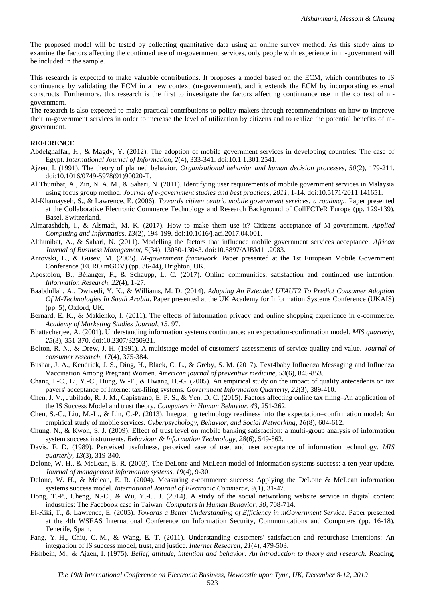The proposed model will be tested by collecting quantitative data using an online survey method. As this study aims to examine the factors affecting the continued use of m-government services, only people with experience in m-government will be included in the sample.

This research is expected to make valuable contributions. It proposes a model based on the ECM, which contributes to IS continuance by validating the ECM in a new context (m-government), and it extends the ECM by incorporating external constructs. Furthermore, this research is the first to investigate the factors affecting continuance use in the context of mgovernment.

The research is also expected to make practical contributions to policy makers through recommendations on how to improve their m-government services in order to increase the level of utilization by citizens and to realize the potential benefits of mgovernment.

#### **REFERENCE**

- Abdelghaffar, H., & Magdy, Y. (2012). The adoption of mobile government services in developing countries: The case of Egypt. *International Journal of Information, 2*(4), 333-341. doi:10.1.1.301.2541.
- Ajzen, I. (1991). The theory of planned behavior. *Organizational behavior and human decision processes, 50*(2), 179-211. doi:10.1016/0749-5978(91)90020-T.
- Al Thunibat, A., Zin, N. A. M., & Sahari, N. (2011). Identifying user requirements of mobile government services in Malaysia using focus group method. *Journal of e-government studies and best practices, 2011*, 1-14. doi:10.5171/2011.141651.
- Al-Khamayseh, S., & Lawrence, E. (2006). *Towards citizen centric mobile government services: a roadmap*. Paper presented at the Collaborative Electronic Commerce Technology and Research Background of CollECTeR Europe (pp. 129-139), Basel, Switzerland.
- Almarashdeh, I., & Alsmadi, M. K. (2017). How to make them use it? Citizens acceptance of M-government. *Applied Computing and Informatics, 13*(2), 194-199. doi:10.1016/j.aci.2017.04.001.
- Althunibat, A., & Sahari, N. (2011). Modelling the factors that influence mobile government services acceptance. *African Journal of Business Management, 5*(34), 13030-13043. doi:10.5897/AJBM11.2083.
- Antovski, L., & Gusev, M. (2005). *M-government framework*. Paper presented at the 1st European Mobile Government Conference (EURO mGOV) (pp. 36-44), Brighton, UK.
- Apostolou, B., Bélanger, F., & Schaupp, L. C. (2017). Online communities: satisfaction and continued use intention. *Information Research, 22*(4), 1-27.
- Baabdullah, A., Dwivedi, Y. K., & Williams, M. D. (2014). *Adopting An Extended UTAUT2 To Predict Consumer Adoption Of M-Technologies In Saudi Arabia*. Paper presented at the UK Academy for Information Systems Conference (UKAIS) (pp. 5), Oxford, UK.
- Bernard, E. K., & Makienko, I. (2011). The effects of information privacy and online shopping experience in e-commerce. *Academy of Marketing Studies Journal, 15*, 97.
- Bhattacherjee, A. (2001). Understanding information systems continuance: an expectation-confirmation model. *MIS quarterly, 25*(3), 351-370. doi:10.2307/3250921.
- Bolton, R. N., & Drew, J. H. (1991). A multistage model of customers' assessments of service quality and value. *Journal of consumer research, 17*(4), 375-384.
- Bushar, J. A., Kendrick, J. S., Ding, H., Black, C. L., & Greby, S. M. (2017). Text4baby Influenza Messaging and Influenza Vaccination Among Pregnant Women. *American journal of preventive medicine, 53*(6), 845-853.
- Chang, I.-C., Li, Y.-C., Hung, W.-F., & Hwang, H.-G. (2005). An empirical study on the impact of quality antecedents on tax payers' acceptance of Internet tax-filing systems. *Government Information Quarterly, 22*(3), 389-410.
- Chen, J. V., Jubilado, R. J. M., Capistrano, E. P. S., & Yen, D. C. (2015). Factors affecting online tax filing–An application of the IS Success Model and trust theory. *Computers in Human Behavior, 43*, 251-262.
- Chen, S.-C., Liu, M.-L., & Lin, C.-P. (2013). Integrating technology readiness into the expectation–confirmation model: An empirical study of mobile services. *Cyberpsychology, Behavior, and Social Networking, 16*(8), 604-612.
- Chung, N., & Kwon, S. J. (2009). Effect of trust level on mobile banking satisfaction: a multi-group analysis of information system success instruments. *Behaviour & Information Technology, 28*(6), 549-562.
- Davis, F. D. (1989). Perceived usefulness, perceived ease of use, and user acceptance of information technology. *MIS quarterly, 13*(3), 319-340.
- Delone, W. H., & McLean, E. R. (2003). The DeLone and McLean model of information systems success: a ten-year update. *Journal of management information systems, 19*(4), 9-30.
- Delone, W. H., & Mclean, E. R. (2004). Measuring e-commerce success: Applying the DeLone & McLean information systems success model. *International Journal of Electronic Commerce, 9*(1), 31-47.
- Dong, T.-P., Cheng, N.-C., & Wu, Y.-C. J. (2014). A study of the social networking website service in digital content industries: The Facebook case in Taiwan. *Computers in Human Behavior, 30*, 708-714.
- El-Kiki, T., & Lawrence, E. (2005). *Towards a Better Understanding of Efficiency in mGovernment Service*. Paper presented at the 4th WSEAS International Conference on Information Security, Communications and Computers (pp. 16-18), Tenerife, Spain.
- Fang, Y.-H., Chiu, C.-M., & Wang, E. T. (2011). Understanding customers' satisfaction and repurchase intentions: An integration of IS success model, trust, and justice. *Internet Research, 21*(4), 479-503.
- Fishbein, M., & Ajzen, I. (1975). *Belief, attitude, intention and behavior: An introduction to theory and research*. Reading,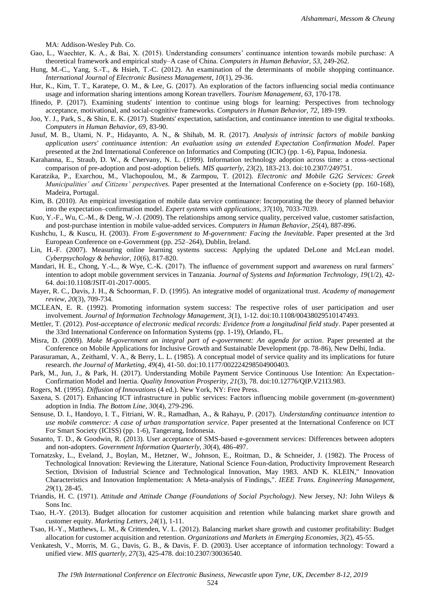MA: Addison-Wesley Pub. Co.

- Gao, L., Waechter, K. A., & Bai, X. (2015). Understanding consumers' continuance intention towards mobile purchase: A theoretical framework and empirical study–A case of China. *Computers in Human Behavior, 53*, 249-262.
- Hung, M.-C., Yang, S.-T., & Hsieh, T.-C. (2012). An examination of the determinants of mobile shopping continuance. *International Journal of Electronic Business Management, 10*(1), 29-36.
- Hur, K., Kim, T. T., Karatepe, O. M., & Lee, G. (2017). An exploration of the factors influencing social media continuance usage and information sharing intentions among Korean travellers. *Tourism Management, 63*, 170-178.
- Ifinedo, P. (2017). Examining students' intention to continue using blogs for learning: Perspectives from technology acceptance, motivational, and social-cognitive frameworks. *Computers in Human Behavior, 72*, 189-199.
- Joo, Y. J., Park, S., & Shin, E. K. (2017). Students' expectation, satisfaction, and continuance intention to use digital textbooks. *Computers in Human Behavior, 69*, 83-90.
- Jusuf, M. B., Utami, N. P., Hidayanto, A. N., & Shihab, M. R. (2017). *Analysis of intrinsic factors of mobile banking application users' continuance intention: An evaluation using an extended Expectation Confirmation Model*. Paper presented at the 2nd International Conference on Informatics and Computing (ICIC) (pp. 1-6), Papua, Indonesia.
- Karahanna, E., Straub, D. W., & Chervany, N. L. (1999). Information technology adoption across time: a cross-sectional comparison of pre-adoption and post-adoption beliefs. *MIS quarterly, 23*(2), 183-213. doi:10.2307/249751.
- Karatzika, P., Exarchou, M., Vlachopoulou, M., & Zarmpou, T. (2012). *Electronic and Mobile G2G Services: Greek Municipalities' and Citizens' perspectives*. Paper presented at the International Conference on e-Society (pp. 160-168), Madeira, Portugal.
- Kim, B. (2010). An empirical investigation of mobile data service continuance: Incorporating the theory of planned behavior into the expectation–confirmation model. *Expert systems with applications, 37*(10), 7033-7039.
- Kuo, Y.-F., Wu, C.-M., & Deng, W.-J. (2009). The relationships among service quality, perceived value, customer satisfaction, and post-purchase intention in mobile value-added services. *Computers in Human Behavior, 25*(4), 887-896.
- Kushchu, I., & Kuscu, H. (2003). *From E-government to M-government: Facing the Inevitable*. Paper presented at the 3rd European Conference on e-Government (pp. 252–264), Dublin, Ireland.
- Lin, H.-F. (2007). Measuring online learning systems success: Applying the updated DeLone and McLean model. *Cyberpsychology & behavior, 10*(6), 817-820.
- Mandari, H. E., Chong, Y.-L., & Wye, C.-K. (2017). The influence of government support and awareness on rural farmers' intention to adopt mobile government services in Tanzania. *Journal of Systems and Information Technology, 19*(1/2), 42- 64. doi:10.1108/JSIT-01-2017-0005.
- Mayer, R. C., Davis, J. H., & Schoorman, F. D. (1995). An integrative model of organizational trust. *Academy of management review, 20*(3), 709-734.
- MCLEAN, E. R. (1992). Promoting information system success: The respective roles of user participation and user involvement. *Journal of Information Technology Management, 3*(1), 1-12. doi:10.1108/00438029510147493.
- Mettler, T. (2012). *Post-acceptance of electronic medical records: Evidence from a longitudinal field study*. Paper presented at the 33rd International Conference on Information Systems (pp. 1-19), Orlando, FL.
- Misra, D. (2009). *Make M-government an integral part of e-government: An agenda for action*. Paper presented at the Conference on Mobile Applications for Inclusive Growth and Sustainable Development (pp. 78-86), New Delhi, India.
- Parasuraman, A., Zeithaml, V. A., & Berry, L. L. (1985). A conceptual model of service quality and its implications for future research. *the Journal of Marketing, 49*(4), 41-50. doi:10.1177/002224298504900403.
- Park, M., Jun, J., & Park, H. (2017). Understanding Mobile Payment Service Continuous Use Intention: An Expectation-Confirmation Model and Inertia. *Quality Innovation Prosperity, 21*(3), 78. doi:10.12776/QIP.V21I3.983.
- Rogers, M. (1995). *Diffusion of Innovations* (4 ed.). New York, NY: Free Press.
- Saxena, S. (2017). Enhancing ICT infrastructure in public services: Factors influencing mobile government (m-government) adoption in India. *The Bottom Line, 30*(4), 279-296.
- Sensuse, D. I., Handoyo, I. T., Fitriani, W. R., Ramadhan, A., & Rahayu, P. (2017). *Understanding continuance intention to use mobile commerce: A case of urban transportation service*. Paper presented at the International Conference on ICT For Smart Society (ICISS) (pp. 1-6), Tangerang, Indonesia.
- Susanto, T. D., & Goodwin, R. (2013). User acceptance of SMS-based e-government services: Differences between adopters and non-adopters. *Government Information Quarterly, 30*(4), 486-497.
- Tornatzsky, L., Eveland, J., Boylan, M., Hetzner, W., Johnson, E., Roitman, D., & Schneider, J. (1982). The Process of Technological Innovation: Reviewing the Literature, National Science Foun-dation, Productivity Improvement Research Section, Division of Industrial Science and Technological Innovation, May 1983. AND K. KLEIN," Innovation Characteristics and Innovation Implementation: A Meta-analysis of Findings,". *IEEE Trans. Engineering Management, 29*(1), 28-45.
- Triandis, H. C. (1971). *Attitude and Attitude Change (Foundations of Social Psychology)*. New Jersey, NJ: John Wileys & Sons Inc.
- Tsao, H.-Y. (2013). Budget allocation for customer acquisition and retention while balancing market share growth and customer equity. *Marketing Letters, 24*(1), 1-11.
- Tsao, H.-Y., Matthews, L. M., & Crittenden, V. L. (2012). Balancing market share growth and customer profitability: Budget allocation for customer acquisition and retention. *Organizations and Markets in Emerging Economies, 3*(2), 45-55.
- Venkatesh, V., Morris, M. G., Davis, G. B., & Davis, F. D. (2003). User acceptance of information technology: Toward a unified view. *MIS quarterly, 27*(3), 425-478. doi:10.2307/30036540.